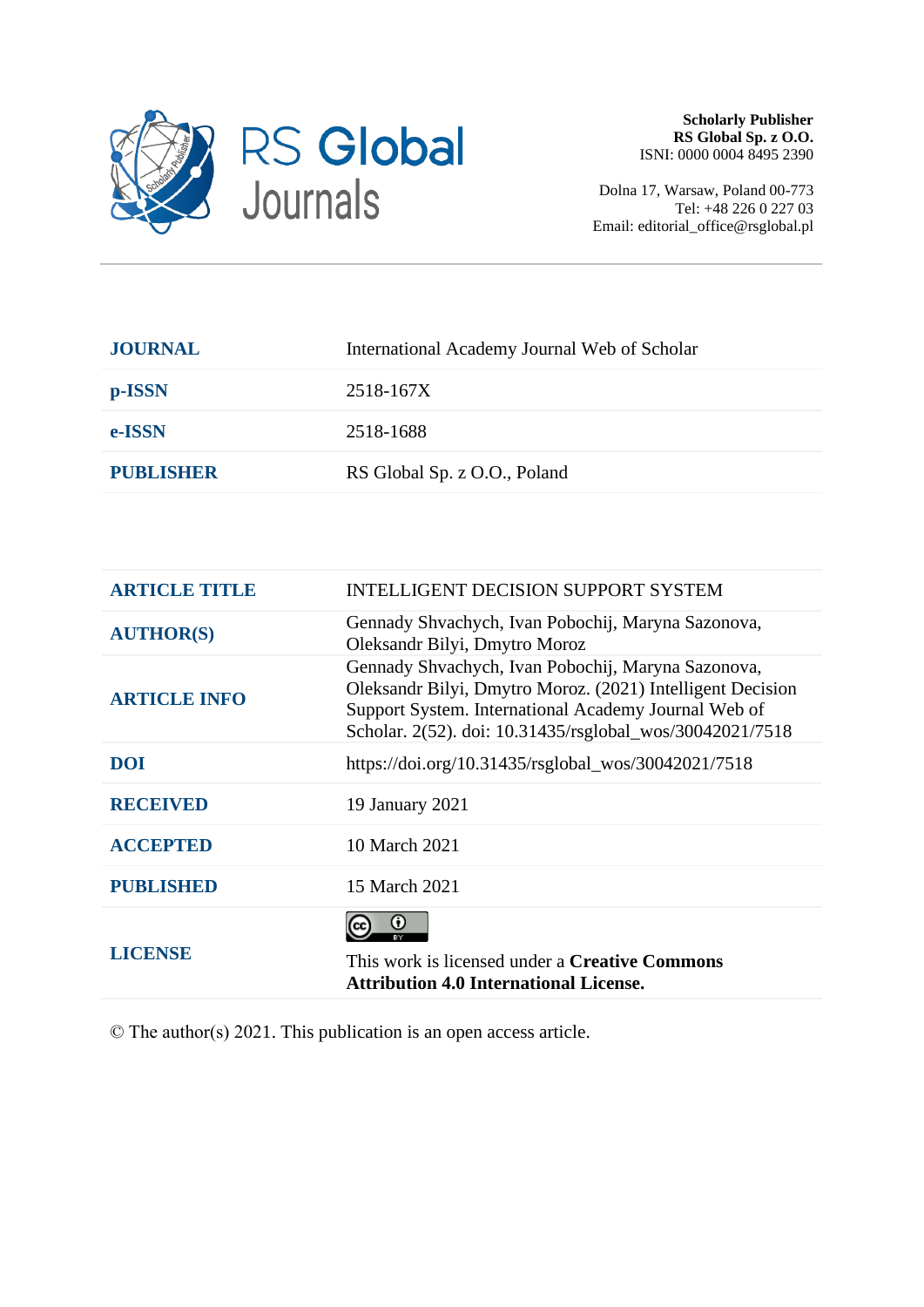

Dolna 17, Warsaw, Poland 00-773 Tel: +48 226 0 227 03 Email: editorial\_office@rsglobal.pl

| <b>JOURNAL</b>   | International Academy Journal Web of Scholar |
|------------------|----------------------------------------------|
| p-ISSN           | 2518-167X                                    |
| e-ISSN           | 2518-1688                                    |
| <b>PUBLISHER</b> | RS Global Sp. z O.O., Poland                 |
|                  |                                              |

| <b>ARTICLE TITLE</b> | <b>INTELLIGENT DECISION SUPPORT SYSTEM</b>                                                                                                                                                                                           |
|----------------------|--------------------------------------------------------------------------------------------------------------------------------------------------------------------------------------------------------------------------------------|
| <b>AUTHOR(S)</b>     | Gennady Shvachych, Ivan Pobochij, Maryna Sazonova,<br>Oleksandr Bilyi, Dmytro Moroz                                                                                                                                                  |
| <b>ARTICLE INFO</b>  | Gennady Shvachych, Ivan Pobochij, Maryna Sazonova,<br>Oleksandr Bilyi, Dmytro Moroz. (2021) Intelligent Decision<br>Support System. International Academy Journal Web of<br>Scholar. 2(52). doi: 10.31435/rsglobal_wos/30042021/7518 |
| <b>DOI</b>           | https://doi.org/10.31435/rsglobal_wos/30042021/7518                                                                                                                                                                                  |
| <b>RECEIVED</b>      | 19 January 2021                                                                                                                                                                                                                      |
| <b>ACCEPTED</b>      | 10 March 2021                                                                                                                                                                                                                        |
| <b>PUBLISHED</b>     | 15 March 2021                                                                                                                                                                                                                        |
| <b>LICENSE</b>       | $\bf{C}$<br>This work is licensed under a <b>Creative Commons</b><br><b>Attribution 4.0 International License.</b>                                                                                                                   |

© The author(s) 2021. This publication is an open access article.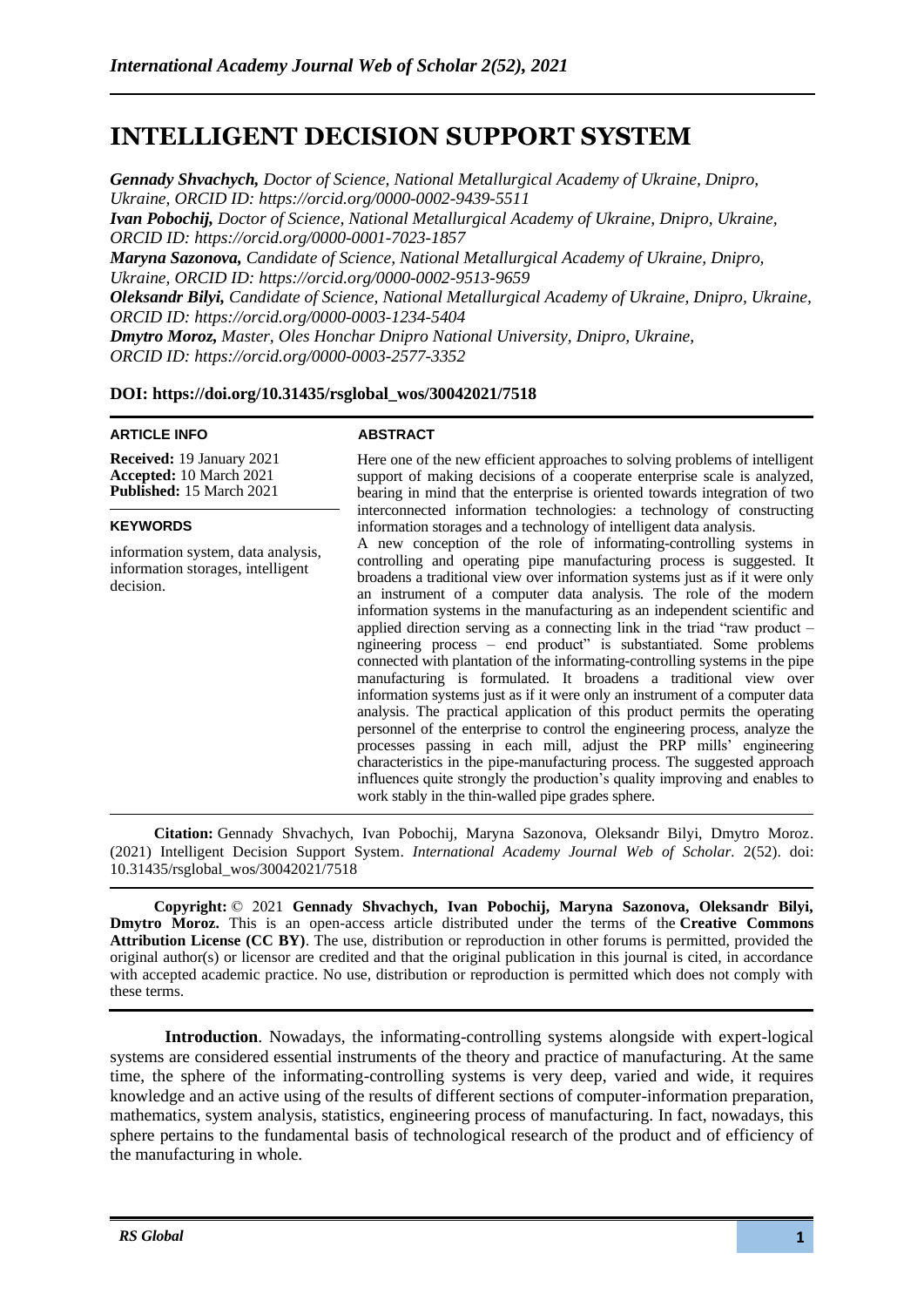# **INTELLIGENT DECISION SUPPORT SYSTEM**

*Gennady Shvachych, Doctor of Science, National Metallurgical Academy of Ukraine, Dnipro, Ukraine, ORCID ID:<https://orcid.org/0000-0002-9439-5511> Ivan Pobochij, Doctor of Science, National Metallurgical Academy of Ukraine, Dnipro, Ukraine, ORCID ID:<https://orcid.org/0000-0001-7023-1857> Maryna Sazonova, Candidate of Science, National Metallurgical Academy of Ukraine, Dnipro, Ukraine, ORCID ID:<https://orcid.org/0000-0002-9513-9659> Oleksandr Bilyi, Candidate of Science, National Metallurgical Academy of Ukraine, Dnipro, Ukraine, ORCID ID:<https://orcid.org/0000-0003-1234-5404> Dmytro Moroz, Master, Oles Honchar Dnipro National University, Dnipro, Ukraine, ORCID ID: [https://orcid.org/0000-0003-2577-3](https://orcid.org/0000-0003-2577-)352*

### **DOI: https://doi.org/10.31435/rsglobal\_wos/30042021/7518**

#### **ARTICLE INFO**

#### **ABSTRACT**

**Received:** 19 January 2021 **Accepted:** 10 March 2021 **Published:** 15 March 2021 Here one of the new efficient approaches to solving problems of intelligent support of making decisions of a cooperate enterprise scale is analyzed, bearing in mind that the enterprise is oriented towards integration of two interconnected information technologies: a technology of constructing information storages and a technology of intelligent data analysis. A new conception of the role of informating-controlling systems in controlling and operating pipe manufacturing process is suggested. It broadens a traditional view over information systems just as if it were only an instrument of a computer data analysis. The role of the modern information systems in the manufacturing as an independent scientific and applied direction serving as a connecting link in the triad "raw product – ngineering process – end product" is substantiated. Some problems connected with plantation of the informating-controlling systems in the pipe manufacturing is formulated. It broadens a traditional view over information systems just as if it were only an instrument of a computer data analysis. The practical application of this product permits the operating personnel of the enterprise to control the engineering process, analyze the processes passing in each mill, adjust the PRP mills' engineering characteristics in the pipe-manufacturing process. The suggested approach influences quite strongly the production's quality improving and enables to work stably in the thin-walled pipe grades sphere. **KEYWORDS** information system, data analysis, information storages, intelligent decision.

**Citation:** Gennady Shvachych, Ivan Pobochij, Maryna Sazonova, Oleksandr Bilyi, Dmytro Moroz. (2021) Intelligent Decision Support System. *International Academy Journal Web of Scholar.* 2(52). doi: 10.31435/rsglobal\_wos/30042021/7518

**Copyright:** © 2021 **Gennady Shvachych, Ivan Pobochij, Maryna Sazonova, Oleksandr Bilyi, Dmytro Moroz.** This is an open-access article distributed under the terms of the **Creative Commons Attribution License (CC BY)**. The use, distribution or reproduction in other forums is permitted, provided the original author(s) or licensor are credited and that the original publication in this journal is cited, in accordance with accepted academic practice. No use, distribution or reproduction is permitted which does not comply with these terms.

**Introduction**. Nowadays, the informating-controlling systems alongside with expert-logical systems are considered essential instruments of the theory and practice of manufacturing. At the same time, the sphere of the informating-controlling systems is very deep, varied and wide, it requires knowledge and an active using of the results of different sections of computer-information preparation, mathematics, system analysis, statistics, engineering process of manufacturing. In fact, nowadays, this sphere pertains to the fundamental basis of technological research of the product and of efficiency of the manufacturing in whole.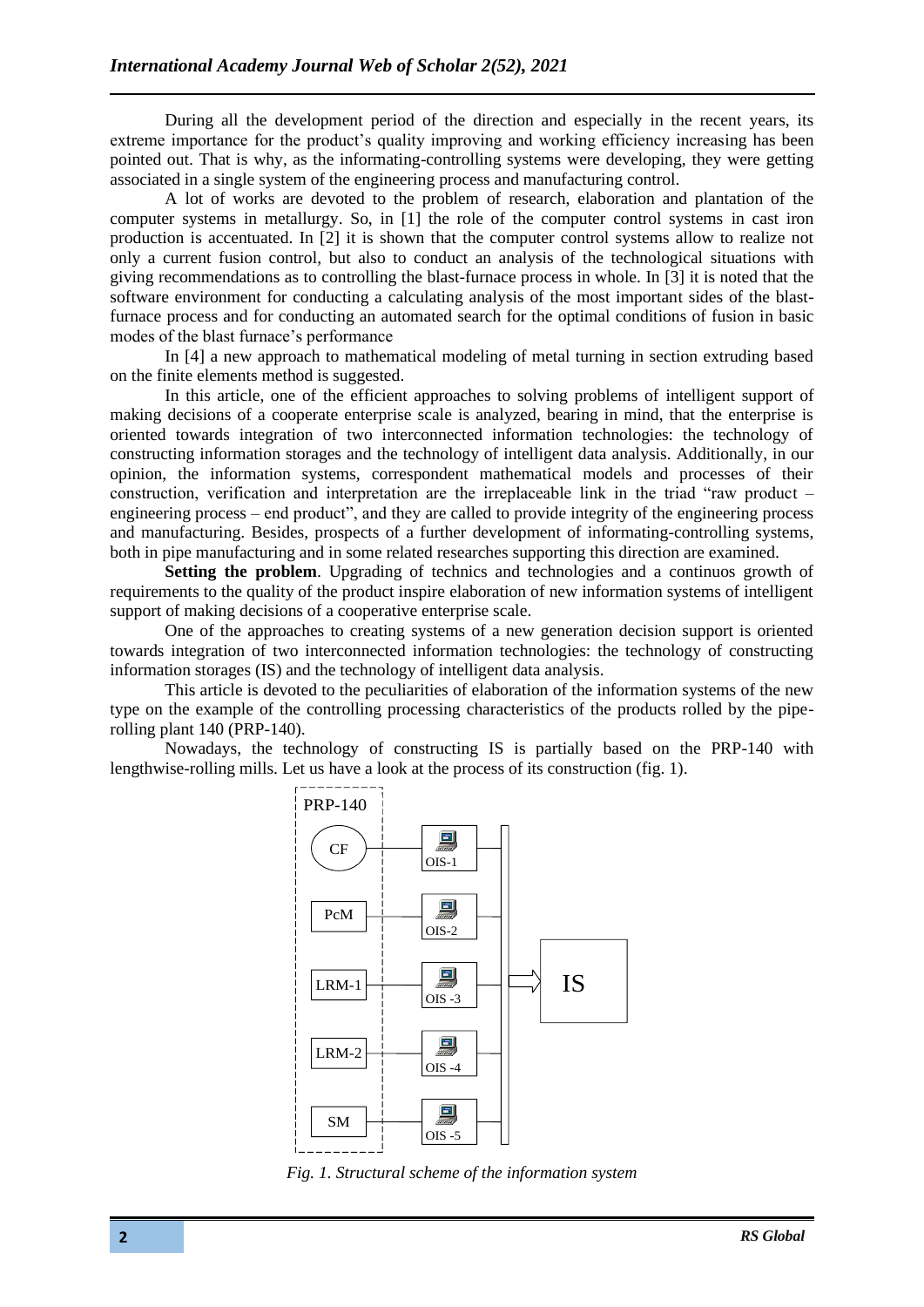During all the development period of the direction and especially in the recent years, its extreme importance for the product's quality improving and working efficiency increasing has been pointed out. That is why, as the informating-controlling systems were developing, they were getting associated in a single system of the engineering process and manufacturing control.

A lot of works are devoted to the problem of research, elaboration and plantation of the computer systems in metallurgy. So, in [1] the role of the computer control systems in cast iron production is accentuated. In [2] it is shown that the computer control systems allow to realize not only a current fusion control, but also to conduct an analysis of the technological situations with giving recommendations as to controlling the blast-furnace process in whole. In [3] it is noted that the software environment for conducting a calculating analysis of the most important sides of the blastfurnace process and for conducting an automated search for the optimal conditions of fusion in basic modes of the blast furnace's performance

In [4] a new approach to mathematical modeling of metal turning in section extruding based on the finite elements method is suggested.

In this article, one of the efficient approaches to solving problems of intelligent support of making decisions of a cooperate enterprise scale is analyzed, bearing in mind, that the enterprise is oriented towards integration of two interconnected information technologies: the technology of constructing information storages and the technology of intelligent data analysis. Additionally, in our opinion, the information systems, correspondent mathematical models and processes of their construction, verification and interpretation are the irreplaceable link in the triad "raw product – engineering process – end product", and they are called to provide integrity of the engineering process and manufacturing. Besides, prospects of a further development of informating-controlling systems, both in pipe manufacturing and in some related researches supporting this direction are examined.

**Setting the problem.** Upgrading of technics and technologies and a continuos growth of requirements to the quality of the product inspire elaboration of new information systems of intelligent support of making decisions of a cooperative enterprise scale.

One of the approaches to creating systems of a new generation decision support is oriented towards integration of two interconnected information technologies: the technology of constructing information storages (IS) and the technology of intelligent data analysis.

This article is devoted to the peculiarities of elaboration of the information systems of the new type on the example of the controlling processing characteristics of the products rolled by the piperolling plant 140 (PRP-140).

Nowadays, the technology of constructing IS is partially based on the PRP-140 with lengthwise-rolling mills. Let us have a look at the process of its construction (fig. 1).



*Fig. 1. Structural scheme of the information system*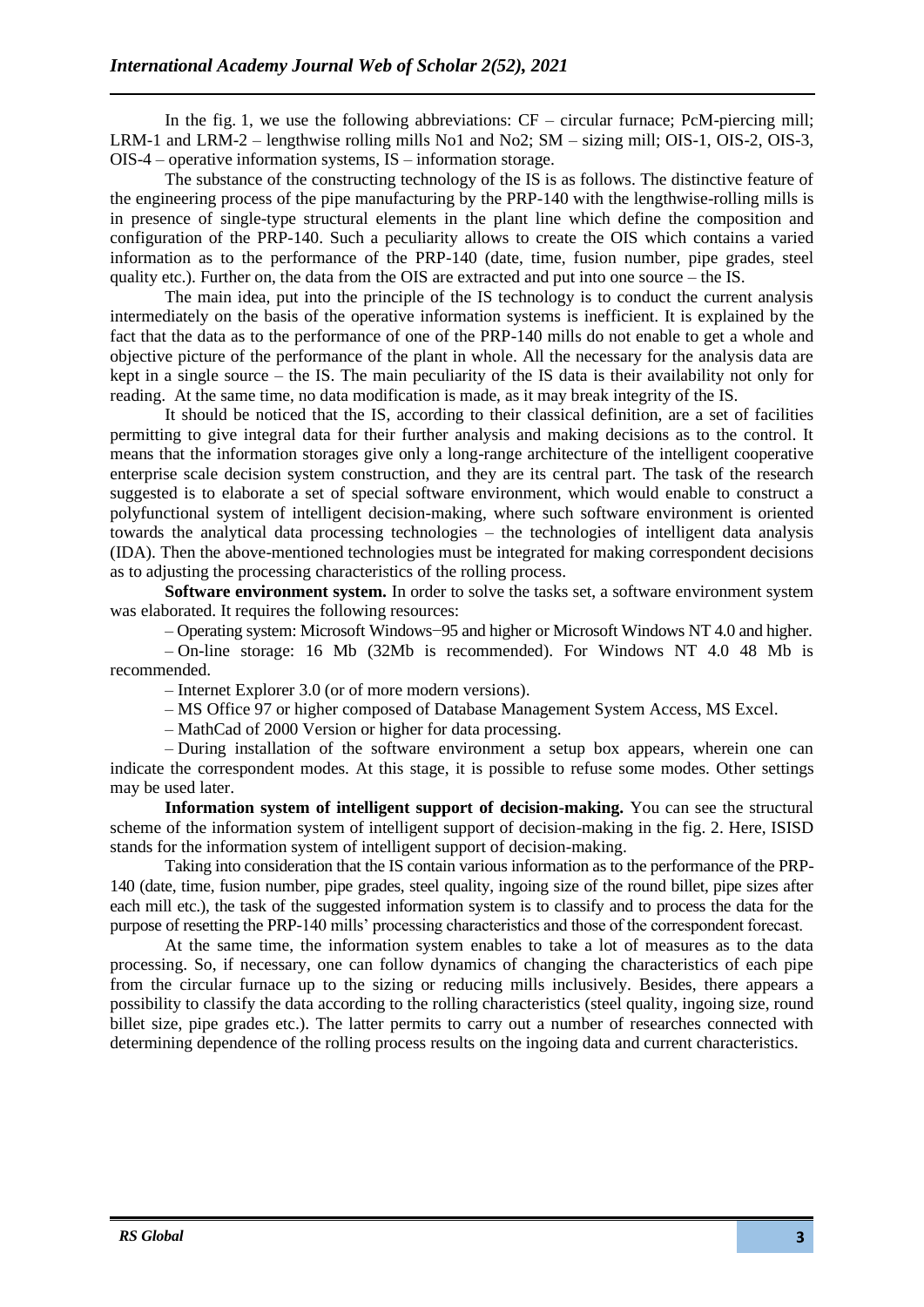In the fig. 1, we use the following abbreviations:  $CF -$  circular furnace; PcM-piercing mill; LRM-1 and LRM-2 – lengthwise rolling mills No1 and No2; SM – sizing mill; OIS-1, OIS-2, OIS-3, OIS-4 – operative information systems, IS – information storage.

The substance of the constructing technology of the IS is as follows. The distinctive feature of the engineering process of the pipe manufacturing by the PRP-140 with the lengthwise-rolling mills is in presence of single-type structural elements in the plant line which define the composition and configuration of the PRP-140. Such a peculiarity allows to create the OIS which contains a varied information as to the performance of the PRP-140 (date, time, fusion number, pipe grades, steel quality etc.). Further on, the data from the OIS are extracted and put into one source – the IS.

The main idea, put into the principle of the IS technology is to conduct the current analysis intermediately on the basis of the operative information systems is inefficient. It is explained by the fact that the data as to the performance of one of the PRP-140 mills do not enable to get a whole and objective picture of the performance of the plant in whole. All the necessary for the analysis data are kept in a single source – the IS. The main peculiarity of the IS data is their availability not only for reading. At the same time, no data modification is made, as it may break integrity of the IS.

It should be noticed that the IS, according to their classical definition, are a set of facilities permitting to give integral data for their further analysis and making decisions as to the control. It means that the information storages give only a long-range architecture of the intelligent cooperative enterprise scale decision system construction, and they are its central part. The task of the research suggested is to elaborate a set of special software environment, which would enable to construct a polyfunctional system of intelligent decision-making, where such software environment is oriented towards the analytical data processing technologies – the technologies of intelligent data analysis (IDA). Then the above-mentioned technologies must be integrated for making correspondent decisions as to adjusting the processing characteristics of the rolling process.

**Software environment system.** In order to solve the tasks set, a software environment system was elaborated. It requires the following resources:

– Operating system: Microsoft Windows−95 and higher or Microsoft Windows NT 4.0 and higher.

– On-line storage: 16 Mb (32Mb is recommended). For Windows NT 4.0 48 Mb is recommended.

– Internet Explorer 3.0 (or of more modern versions).

– MS Office 97 or higher composed of Database Management System Access, MS Excel.

– MathCad of 2000 Version or higher for data processing.

– During installation of the software environment a setup box appears, wherein one can indicate the correspondent modes. At this stage, it is possible to refuse some modes. Other settings may be used later.

**Information system of intelligent support of decision-making.** You can see the structural scheme of the information system of intelligent support of decision-making in the fig. 2. Here, ISISD stands for the information system of intelligent support of decision-making.

Taking into consideration that the IS contain various information as to the performance of the PRP-140 (date, time, fusion number, pipe grades, steel quality, ingoing size of the round billet, pipe sizes after each mill etc.), the task of the suggested information system is to classify and to process the data for the purpose of resetting the PRP-140 mills' processing characteristics and those of the correspondent forecast.

At the same time, the information system enables to take a lot of measures as to the data processing. So, if necessary, one can follow dynamics of changing the characteristics of each pipe from the circular furnace up to the sizing or reducing mills inclusively. Besides, there appears a possibility to classify the data according to the rolling characteristics (steel quality, ingoing size, round billet size, pipe grades etc.). The latter permits to carry out a number of researches connected with determining dependence of the rolling process results on the ingoing data and current characteristics.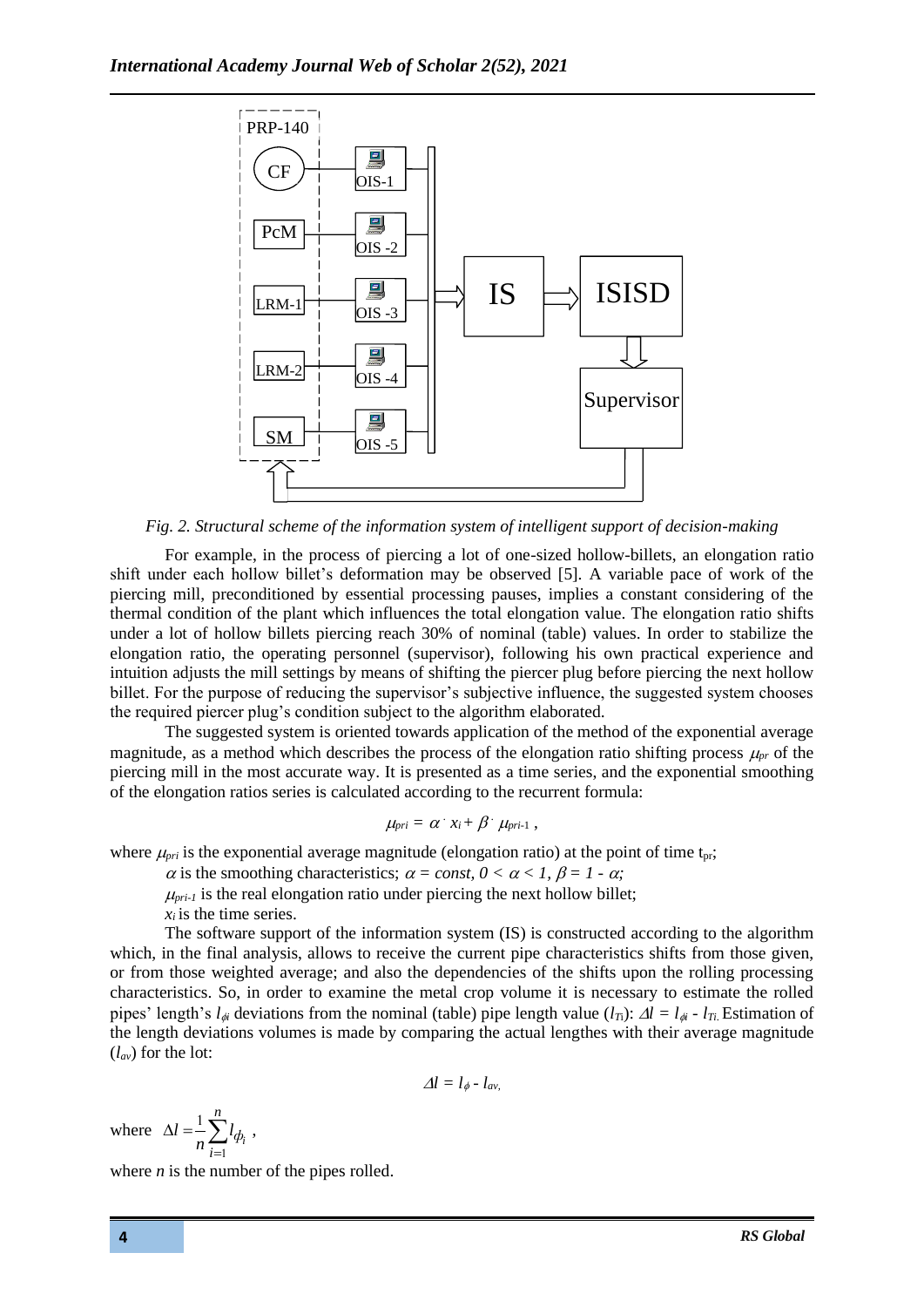

*Fig. 2. Structural scheme of the information system of intelligent support of decision-making*

For example, in the process of piercing a lot of one-sized hollow-billets, an elongation ratio shift under each hollow billet's deformation may be observed [5]. A variable pace of work of the piercing mill, preconditioned by essential processing pauses, implies a constant considering of the thermal condition of the plant which influences the total elongation value. The elongation ratio shifts under a lot of hollow billets piercing reach 30% of nominal (table) values. In order to stabilize the elongation ratio, the operating personnel (supervisor), following his own practical experience and intuition adjusts the mill settings by means of shifting the piercer plug before piercing the next hollow billet. For the purpose of reducing the supervisor's subjective influence, the suggested system chooses the required piercer plug's condition subject to the algorithm elaborated.

The suggested system is oriented towards application of the method of the exponential average magnitude, as a method which describes the process of the elongation ratio shifting process  $\mu_{nr}$  of the piercing mill in the most accurate way. It is presented as a time series, and the exponential smoothing of the elongation ratios series is calculated according to the recurrent formula:

$$
\mu_{pri} = \alpha \cdot x_i + \beta \cdot \mu_{pri-1} ,
$$

where  $\mu_{pri}$  is the exponential average magnitude (elongation ratio) at the point of time t<sub>pr</sub>;

 $\alpha$  is the smoothing characteristics;  $\alpha = const$ ,  $0 < \alpha < 1$ ,  $\beta = 1 - \alpha$ ;

 $\mu_{pri-1}$  is the real elongation ratio under piercing the next hollow billet;  $x_i$  *is the time series.* 

The software support of the information system (IS) is constructed according to the algorithm which, in the final analysis, allows to receive the current pipe characteristics shifts from those given, or from those weighted average; and also the dependencies of the shifts upon the rolling processing characteristics. So, in order to examine the metal crop volume it is necessary to estimate the rolled pipes' length's  $l_{\phi}$  deviations from the nominal (table) pipe length value  $(l_T)$ :  $\Delta l = l_{\phi}$  -  $l_T$ . Estimation of the length deviations volumes is made by comparing the actual lengthes with their average magnitude (*lav*) for the lot:

$$
\varDelta l = l_{\phi} - l_{av}
$$

where 
$$
\Delta l = \frac{1}{n} \sum_{i=1}^{n} l_{\phi_i}
$$
,

where  $n$  is the number of the pipes rolled.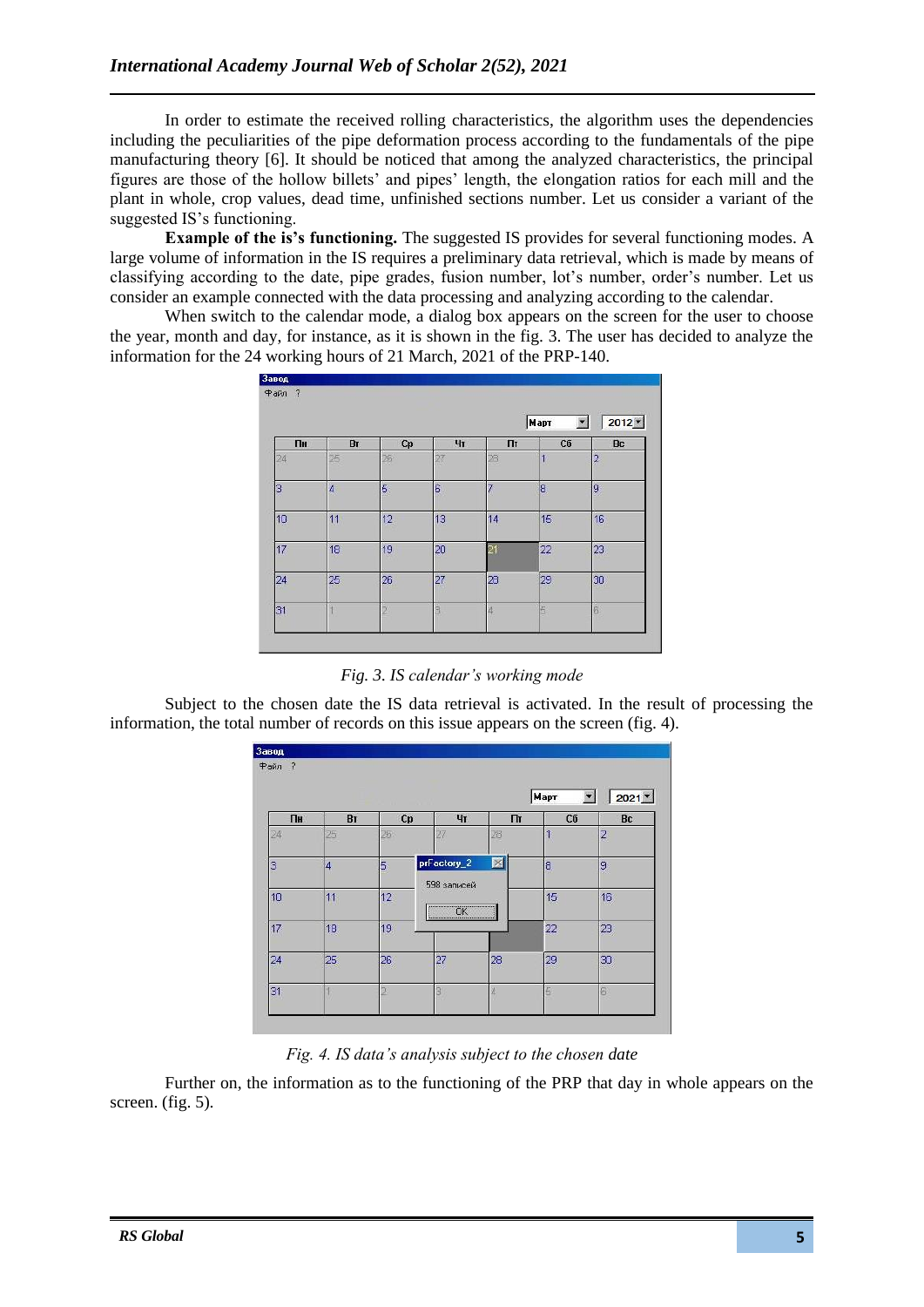In order to estimate the received rolling characteristics, the algorithm uses the dependencies including the peculiarities of the pipe deformation process according to the fundamentals of the pipe manufacturing theory [6]. It should be noticed that among the analyzed characteristics, the principal figures are those of the hollow billets' and pipes' length, the elongation ratios for each mill and the plant in whole, crop values, dead time, unfinished sections number. Let us consider a variant of the suggested IS's functioning.

**Example of the is's functioning.** The suggested IS provides for several functioning modes. A large volume of information in the IS requires a preliminary data retrieval, which is made by means of classifying according to the date, pipe grades, fusion number, lot's number, order's number. Let us consider an example connected with the data processing and analyzing according to the calendar.

When switch to the calendar mode, a dialog box appears on the screen for the user to choose the year, month and day, for instance, as it is shown in the fig. 3. The user has decided to analyze the information for the 24 working hours of 21 March, 2021 of the PRP-140.

| $\overline{?}$<br>Файл<br>$\sqrt{2012}$<br>Mapr<br>$\blacktriangledown$ |    |    |    |    |    |                |  |  |
|-------------------------------------------------------------------------|----|----|----|----|----|----------------|--|--|
| Пн                                                                      | BI | Cp | Чт | Пт | Сб | Bc             |  |  |
| 24                                                                      | 25 | 26 | 27 | 28 | ć  | $\overline{2}$ |  |  |
| 3                                                                       | 4  | 5  | G  | 7  | 18 | 9              |  |  |
| 10                                                                      | 11 | 12 | 13 | 14 | 15 | 16             |  |  |
| 17                                                                      | 18 | 19 | 20 | 2  | 22 | 23             |  |  |
| 24                                                                      | 25 | 26 | 27 | 28 | 29 | 30             |  |  |
| 31                                                                      |    | 5  | ٩  |    | E  | B              |  |  |

Subject to the chosen date the IS data retrieval is activated. In the result of processing the information, the total number of records on this issue appears on the screen (fig. 4).



## *Fig. 4. IS data's analysis subject to the chosen date*

Further on, the information as to the functioning of the PRP that day in whole appears on the screen. (fig. 5).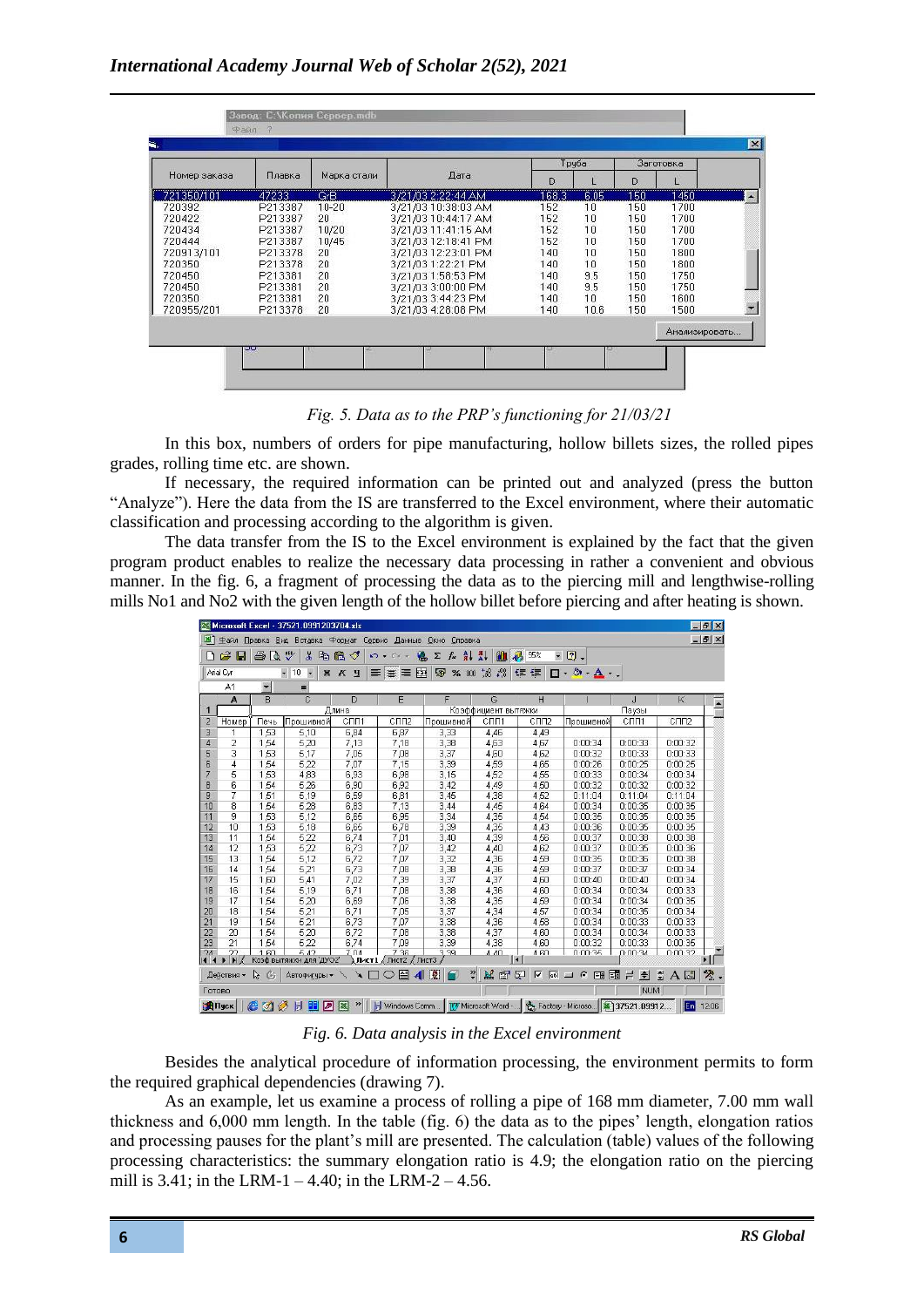| <b>Заготовка</b> |     | Труба |       |                     |             |         |              |
|------------------|-----|-------|-------|---------------------|-------------|---------|--------------|
|                  | D   |       | D     | Дата                | Марка стали | Плавка  | Номер заказа |
| 1450             | 150 | 6.05  | 168.3 | 3/21/03 2:22:44 AM  | GrB         | 47233   | 721350/101   |
| 1700             | 150 | 10    | 152   | 3/21/03 10:38:03 AM | $10 - 20$   | P213387 | 720392       |
| 1700             | 150 | 10    | 152   | 3/21/03 10:44:17 AM | 20          | P213387 | 720422       |
| 1700             | 150 | 10    | 152   | 3/21/03 11:41:15 AM | 10/20       | P213387 | 720434       |
| 1700             | 150 | 10    | 152   | 3/21/03 12:18:41 PM | 10/45       | P213387 | 720444       |
| 1800             | 150 | 10    | 140   | 3/21/03 12:23:01 PM | 20          | P213378 | 720913/101   |
| 1800             | 150 | 10    | 140   | 3/21/03 1:22:21 PM  | 20          | P213378 | 720350       |
| 1750             | 150 | 9.5   | 140   | 3/21/03 1:58:53 PM  | 20          | P213381 | 720450       |
| 1750             | 150 | 9.5   | 140   | 3/21/03 3:00:00 PM  | 20          | P213381 | 720450       |
| 1600             | 150 | 10    | 140   | 3/21/03 3:44:23 PM  | 20          | P213381 | 720350       |
| 1500             | 150 | 10.6  | 140   | 3/21/03 4:28:08 PM  | 20          | P213378 | 720955/201   |
| Анализировать    |     |       |       |                     |             |         |              |



In this box, numbers of orders for pipe manufacturing, hollow billets sizes, the rolled pipes grades, rolling time etc. are shown.

If necessary, the required information can be printed out and analyzed (press the button "Analyze"). Here the data from the IS are transferred to the Excel environment, where their automatic classification and processing according to the algorithm is given.

The data transfer from the IS to the Excel environment is explained by the fact that the given program product enables to realize the necessary data processing in rather a convenient and obvious manner. In the fig. 6, a fragment of processing the data as to the piercing mill and lengthwise-rolling mills No1 and No2 with the given length of the hollow billet before piercing and after heating is shown.

|                                 |                                                                                                                                                                                |         | Microsoft Excel - 37521.0991203704.xls |                               |                                                                     |                   |                       |                                  |                  |                               |                               | $ P$ $\times$   |
|---------------------------------|--------------------------------------------------------------------------------------------------------------------------------------------------------------------------------|---------|----------------------------------------|-------------------------------|---------------------------------------------------------------------|-------------------|-----------------------|----------------------------------|------------------|-------------------------------|-------------------------------|-----------------|
|                                 | Файл Правка                                                                                                                                                                    |         | Вид Вставка Формат Сервис Данные       |                               |                                                                     | Окно Справка      |                       |                                  |                  |                               |                               | $ B$ $\times$   |
|                                 | $\mathbf{r}$ d                                                                                                                                                                 | 4<br>B. | <b>AER</b><br>$\lambda$                | 电危ぐ                           | $n + n$                                                             | $f_{\infty}$<br>Σ | $\frac{A}{A}$<br>仙    | 45 95%<br>×                      | $\boxed{2}$ .    |                               |                               |                 |
|                                 | 再<br>$^{100}_{4,0}$<br>$\boldsymbol{\Pi} \cdot \boldsymbol{\Delta} \cdot \boldsymbol{\Lambda}$ .<br>7.66<br>使狼<br>Arial Cyr<br>$-10$<br>97<br>% 000<br><b>X</b> K H<br>三畫<br>国 |         |                                        |                               |                                                                     |                   |                       |                                  |                  |                               |                               |                 |
| $\blacktriangledown$<br>A1<br>≕ |                                                                                                                                                                                |         |                                        |                               |                                                                     |                   |                       |                                  |                  |                               |                               |                 |
|                                 | A                                                                                                                                                                              | в       | Ć                                      | D                             | E                                                                   | F                 | G                     | H                                |                  | J                             | K                             | ×               |
| 1                               |                                                                                                                                                                                |         |                                        | Длина                         |                                                                     |                   | Коэффициент вытяжки   |                                  |                  | Паузы                         |                               |                 |
| $\overline{2}$                  | Homep                                                                                                                                                                          | Печь    | Прошивной                              | C <sub>I</sub> I <sub>1</sub> | C <sub>U</sub> L2                                                   | Прошивной         | C <sub>TH</sub>       | C <sub>TI</sub> <sub>12</sub>    | Прошивной        | C <sub>I</sub> I <sub>1</sub> | C <sub>TI</sub> <sub>12</sub> |                 |
| 3                               | 1                                                                                                                                                                              | 1,53    | 5,10                                   | 6,84                          | 6,87                                                                | 3,33              | 4,46                  | 4,49                             |                  |                               |                               |                 |
| 4                               | $\overline{2}$                                                                                                                                                                 | 1,54    | 5,20                                   | 7,13                          | 7,18                                                                | 3,38              | 4,63                  | 4,67                             | 0:00:34          | 0:00:33                       | 0:00:32                       |                 |
| 5                               | 3                                                                                                                                                                              | 1,53    | 5,17                                   | 7,05                          | 7,08                                                                | 3,37              | 4,60                  | 4,62                             | 0:00:32          | 0:00:33                       | 0:00:33                       |                 |
| 6                               | 4                                                                                                                                                                              | 1,54    | 5,22                                   | 7,07                          | 7,15                                                                | 3,39              | 4,59                  | 4,65                             | 0:00:26          | 0:00:25                       | 0:00:25                       |                 |
| 7                               | 5                                                                                                                                                                              | 1,53    | 4,83                                   | 6,93                          | 6,98                                                                | 3,15              | 4,52                  | 4,55                             | 0:00:33          | 0:00:34                       | 0:00:34                       |                 |
| 8                               | 6                                                                                                                                                                              | 1,54    | 5,26                                   | 6,90                          | 6,92                                                                | 3,42              | 4,49                  | 4,50                             | 0:00:32          | 0:00:32                       | 0:00:32                       |                 |
| 9                               | 7                                                                                                                                                                              | 1,51    | 5,19                                   | 6,59                          | 6,81                                                                | 3,45              | 4,38                  | 4,52                             | 0:11:04          | 0:11:04                       | 0:11:04                       |                 |
| 10                              | 8                                                                                                                                                                              | 1,54    | 5,28                                   | 6,83                          | 7,13                                                                | 3,44              | 4,45                  | 4.64                             | 0:00:34          | 0:00:35                       | 0:00:35                       |                 |
| 11                              | 9                                                                                                                                                                              | 1,53    | 5,12                                   | 6,65                          | 6,95                                                                | 3,34              | 4,35                  | 4.54                             | 0:00:35          | 0:00:35                       | 0:00:35                       |                 |
| 12                              | 10                                                                                                                                                                             | 1,53    | 5,18                                   | 6,65                          | 6,78                                                                | 3,39              | 4,35                  | 4.43                             | 0:00:36          | 0:00:35                       | 0:00:35                       |                 |
| 13                              | 11                                                                                                                                                                             | 1,54    | 5,22                                   | 6,74                          | 7,01                                                                | 3,40              | 4,39                  | 4,56                             | 0:00:37          | 0:00:38                       | 0:00:38                       |                 |
| 14                              | 12                                                                                                                                                                             | 1,53    | 5,22                                   | 6,73                          | 7,07                                                                | 3,42              | 4,40                  | 4,62                             | 0:00:37          | 0:00:35                       | 0:00:36                       |                 |
| 15                              | 13                                                                                                                                                                             | 1,54    | 5,12                                   | 6,72                          | 7,07                                                                | 3,32              | 4,36                  | 4,59                             | 0:00:35          | 0:00:36                       | 0:00:38                       |                 |
| 16                              | 14                                                                                                                                                                             | 1,54    | 5,21                                   | 6,73                          | 7,08                                                                | 3,38              | 4,36                  | 4,59                             | 0:00:37          | 0:00:37                       | 0:00:34                       |                 |
| 17                              | 15                                                                                                                                                                             | 1,60    | 5,41                                   | 7,02                          | 7,39                                                                | 3,37              | 4,37                  | 4,60                             | 0:00:40          | 0:00:40                       | 0:00:34                       |                 |
| 18                              | 16                                                                                                                                                                             | 1,54    | 5,19                                   | 6,71                          | 7,08                                                                | 3,38              | 4,36                  | 4,60                             | 0:00:34          | 0:00:34                       | 0:00:33                       |                 |
| 19                              | 17                                                                                                                                                                             | 1,54    | 5,20                                   | 6,69                          | 7,06                                                                | 3,38              | 4,35                  | 4,59                             | 0:00:34          | 0:00:34                       | 0:00:35                       |                 |
| 20                              | 18                                                                                                                                                                             | 1,54    | 5,21                                   | 6,71                          | 7.05                                                                | 3,37              | 4,34                  | 4,57                             | 0:00:34          | 0:00:35                       | 0:00:34                       |                 |
| 21                              | 19                                                                                                                                                                             | 1,54    | 5,21                                   | 6.73                          | 7.07                                                                | 3,38              | 4,36                  | 4.58                             | 0:00:34          | 0:00:33                       | 0:00:33                       |                 |
| 22                              | 20                                                                                                                                                                             | 1,54    | 5,20                                   | 6,72                          | 7.08                                                                | 3,38              | 4,37                  | 4.60                             | 0:00:34          | 0:00:34                       | 0:00:33                       |                 |
| 23                              | 21                                                                                                                                                                             | 1.54    | 5,22                                   | 6.74                          | 7,09                                                                | 3,39              | 4,38                  | 4,60                             | 0:00:32          | 0:00:33                       | 0:00:35                       |                 |
| 74                              | つつ<br>H                                                                                                                                                                        | 1.50    | 5.42<br>Коэф вытяжки для 'ДУО2'        | 7 N A                         | 7.36<br><b>Лист1</b> / Лист2 / Лист3                                | 3.39              | $A$ $AD$              | $A$ $B0$<br>$\blacktriangleleft$ | 0.00.35          | 0.00.34                       | 0:00:32                       |                 |
|                                 |                                                                                                                                                                                |         |                                        |                               |                                                                     |                   |                       |                                  |                  |                               |                               |                 |
|                                 | Действия -                                                                                                                                                                     | $k_{i}$ |                                        |                               | Автофигуры $\cdot \setminus \setminus \square$ $\Box$ $\Box$ $\Box$ | $\blacksquare$    | $\ddot{\cdot}$<br>区面包 | $\nabla$ 86 $\Box$               | $\sqrt{6}$<br>EB | EH<br>$\equiv$<br>$\div$      | 힆<br>$A \mathbb{R}$           | $\mathcal{R}$ . |
| Готово                          |                                                                                                                                                                                |         |                                        |                               |                                                                     |                   |                       |                                  |                  | <b>NUM</b>                    |                               |                 |
|                                 | <b>BITyck</b><br>En 12:06                                                                                                                                                      |         |                                        |                               |                                                                     |                   |                       |                                  |                  |                               |                               |                 |

*Fig. 6. Data analysis in the Excel environment*

Besides the analytical procedure of information processing, the environment permits to form the required graphical dependencies (drawing 7).

As an example, let us examine a process of rolling a pipe of 168 mm diameter, 7.00 mm wall thickness and 6,000 mm length. In the table (fig. 6) the data as to the pipes' length, elongation ratios and processing pauses for the plant's mill are presented. The calculation (table) values of the following processing characteristics: the summary elongation ratio is 4.9; the elongation ratio on the piercing mill is  $3.41$ ; in the LRM-1 – 4.40; in the LRM-2 – 4.56.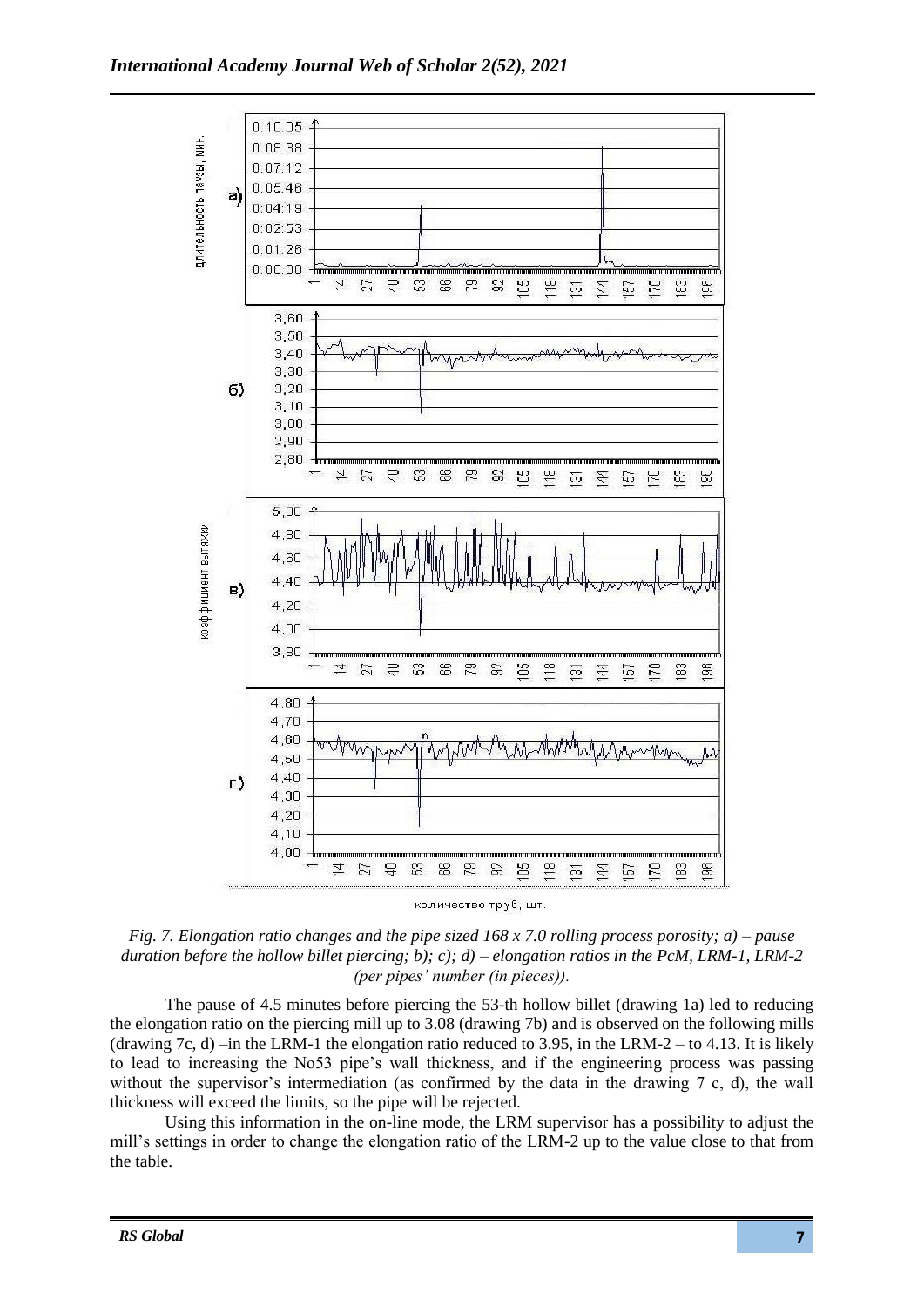

количество труб, шт.

*Fig. 7. Elongation ratio changes and the pipe sized 168 x 7.0 rolling process porosity; a) – pause duration before the hollow billet piercing; b); c); d) – elongation ratios in the PcM, LRM-1, LRM-2 (per pipes' number (in pieces)).*

The pause of 4.5 minutes before piercing the 53-th hollow billet (drawing 1a) led to reducing the elongation ratio on the piercing mill up to 3.08 (drawing 7b) and is observed on the following mills (drawing 7c, d) –in the LRM-1 the elongation ratio reduced to 3.95, in the LRM-2 – to 4.13. It is likely to lead to increasing the No53 pipe's wall thickness, and if the engineering process was passing without the supervisor's intermediation (as confirmed by the data in the drawing 7 c, d), the wall thickness will exceed the limits, so the pipe will be rejected.

Using this information in the on-line mode, the LRM supervisor has a possibility to adjust the mill's settings in order to change the elongation ratio of the LRM-2 up to the value close to that from the table.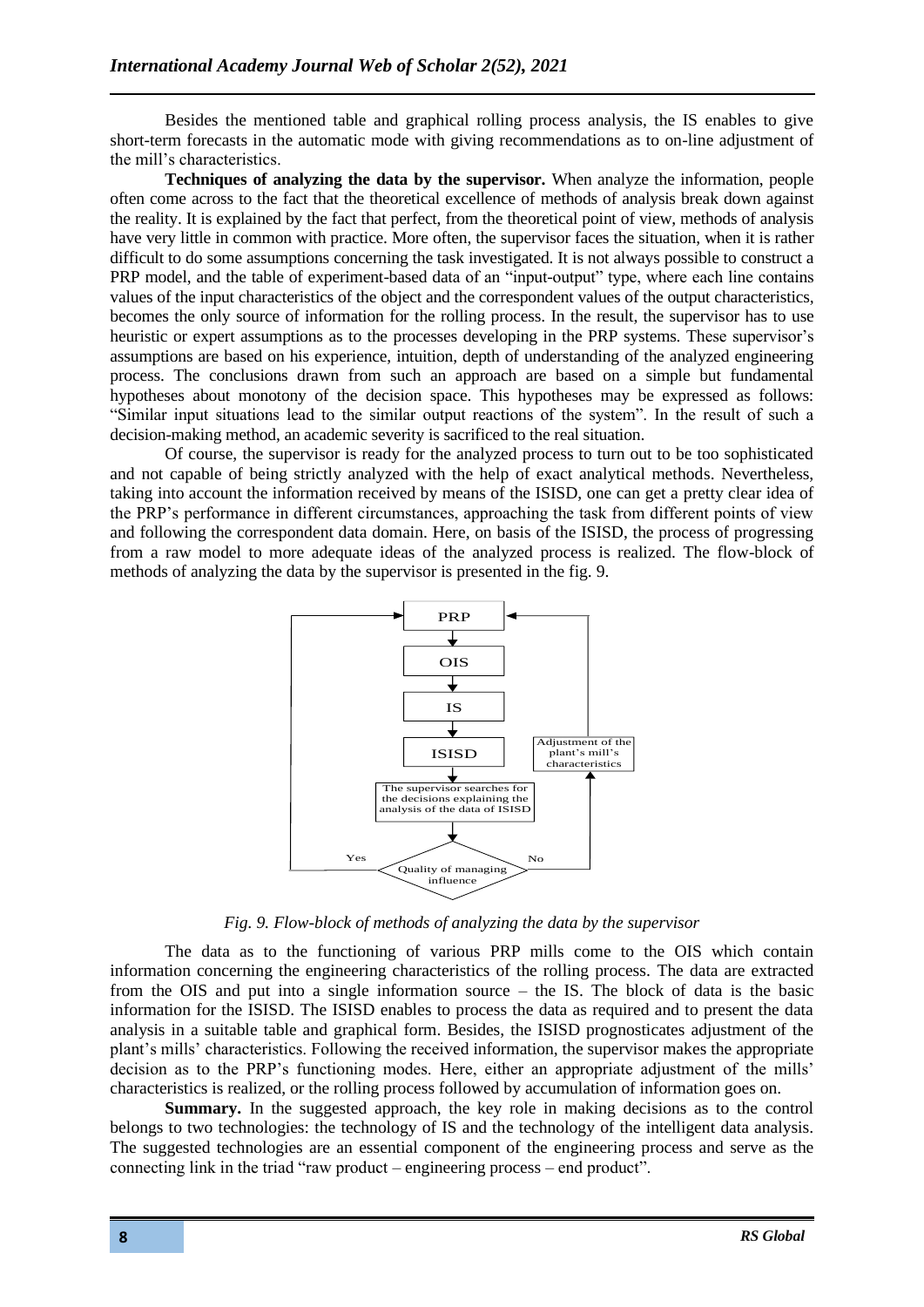Besides the mentioned table and graphical rolling process analysis, the IS enables to give short-term forecasts in the automatic mode with giving recommendations as to on-line adjustment of the mill's characteristics.

**Techniques of analyzing the data by the supervisor.** When analyze the information, people often come across to the fact that the theoretical excellence of methods of analysis break down against the reality. It is explained by the fact that perfect, from the theoretical point of view, methods of analysis have very little in common with practice. More often, the supervisor faces the situation, when it is rather difficult to do some assumptions concerning the task investigated. It is not always possible to construct a PRP model, and the table of experiment-based data of an "input-output" type, where each line contains values of the input characteristics of the object and the correspondent values of the output characteristics, becomes the only source of information for the rolling process. In the result, the supervisor has to use heuristic or expert assumptions as to the processes developing in the PRP systems. These supervisor's assumptions are based on his experience, intuition, depth of understanding of the analyzed engineering process. The conclusions drawn from such an approach are based on a simple but fundamental hypotheses about monotony of the decision space. This hypotheses may be expressed as follows: "Similar input situations lead to the similar output reactions of the system". In the result of such a decision-making method, an academic severity is sacrificed to the real situation.

Of course, the supervisor is ready for the analyzed process to turn out to be too sophisticated and not capable of being strictly analyzed with the help of exact analytical methods. Nevertheless, taking into account the information received by means of the ISISD, one can get a pretty clear idea of the PRP's performance in different circumstances, approaching the task from different points of view and following the correspondent data domain. Here, on basis of the ISISD, the process of progressing from a raw model to more adequate ideas of the analyzed process is realized. The flow-block of methods of analyzing the data by the supervisor is presented in the fig. 9.



*Fig. 9. Flow-block of methods of analyzing the data by the supervisor*

The data as to the functioning of various PRP mills come to the OIS which contain information concerning the engineering characteristics of the rolling process. The data are extracted from the OIS and put into a single information source – the IS. The block of data is the basic information for the ISISD. The ISISD enables to process the data as required and to present the data analysis in a suitable table and graphical form. Besides, the ISISD prognosticates adjustment of the plant's mills' characteristics. Following the received information, the supervisor makes the appropriate decision as to the PRP's functioning modes. Here, either an appropriate adjustment of the mills' characteristics is realized, or the rolling process followed by accumulation of information goes on.

**Summary.** In the suggested approach, the key role in making decisions as to the control belongs to two technologies: the technology of IS and the technology of the intelligent data analysis. The suggested technologies are an essential component of the engineering process and serve as the connecting link in the triad "raw product – engineering process – end product".